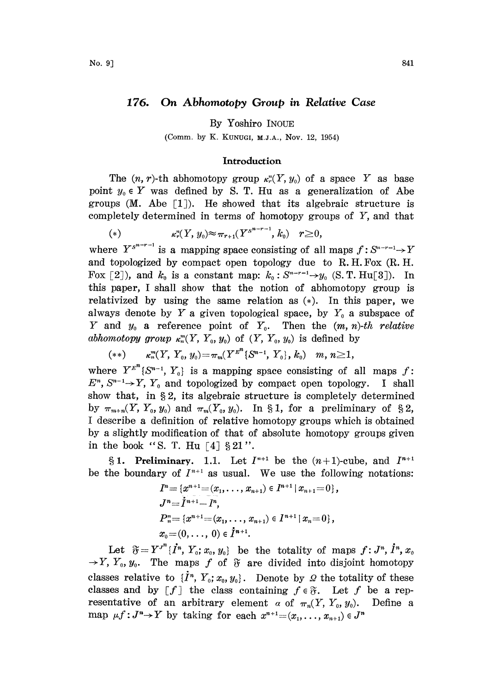## 176. On Abhomotopy Group in Relative Case

By Yoshiro INOUE

(Comm. by K. KUNUGI, M.J.A., Nov. 12, 1954)

## Introduction

The  $(n, r)$ -th abhomotopy group  $\kappa_r^n(Y, y_0)$  of a space Y as base point  $y_0 \in Y$  was defined by S. T. Hu as a generalization of Abe groups (M. Abe  $\lceil 1 \rceil$ ). He showed that its algebraic structure is completely determined in terms of homotopy groups of  $Y$ , and that

(\*) 
$$
\kappa_r^n(Y, y_0) \approx \pi_{r+1}(Y^{s^{n-r-1}}, k_0) \quad r \geq 0,
$$

where  $Y^{s^{n-r-1}}$  is a mapping space consisting of all maps  $f: S^{n-r-1} \rightarrow Y$ and topologized by compact open topology due to R.H. Fox (R. H. Fox [2]), and  $k_0$  is a constant map:  $k_0$ :  $S^{n-r-1} \rightarrow y_0$  (S. T. Hu[3]). In this paper, <sup>I</sup> shall show that the notion of abhomotopy group is relativized by using the same relation as  $(*)$ . In this paper, we always denote by Y a given topological space, by  $Y_0$  a subspace of Y and  $y_0$  a reference point of  $Y_0$ . Then the  $(m, n)$ -th relative abhomotopy group  $\kappa_n^m(Y, Y_0, y_0)$  of  $(Y, Y_0, y_0)$  is defined by

$$
(**) \qquad \kappa^{m}_n(Y, \ Y_0, \ y_0) {=} \pi_m(Y^{E^{\prime n}}\{S^{n-1}, \ Y_0\}, \ k_0) \quad m, \ n{\geq}1,
$$

where  $Y^{E^{n}}\{S^{n-1}, Y_{0}\}$  is a mapping space consisting of all maps f:  $E<sup>n</sup>$ ,  $S<sup>n-1</sup> \rightarrow Y$ ,  $Y_0$  and topologized by compact open topology. I shall show that, in  $\S 2$ , its algebraic structure is completely determined by  $\pi_{m+n}(Y, Y_0, y_0)$  and  $\pi_m(Y_0, y_0)$ . In §1, for a preliminary of §2, <sup>I</sup> describe a definition of relative homotopy groups which is obtained by a slightly modification of that of absolute homotopy groups given in the book "S. T. Hu  $\lceil 4 \rceil \n\leq 21$ ".

§ 1. Preliminary. 1.1. Let  $I^{n+1}$  be the  $(n+1)$ -cube, and  $I^{n+1}$ be the boundary of  $I^{n+1}$  as usual. We use the following notations:

$$
I^{n} = \{x^{n+1} = (x_1, \ldots, x_{n+1}) \in I^{n+1} | x_{n+1} = 0 \},
$$
  
\n
$$
J^{n} = I^{n+1} - I^{n},
$$
  
\n
$$
P_{n}^{n} = \{x^{n+1} = (x_1, \ldots, x_{n+1}) \in I^{n+1} | x_n = 0 \},
$$
  
\n
$$
x_0 = (0, \ldots, 0) \in I^{n+1}.
$$

Let  $\widetilde{v} = Y^{J^n} \{ \widetilde{I^n}, Y_0; x_0, y_0 \}$  be the totality of maps  $f: J^n, \widetilde{I^n}, x_0$ <br>  $Y_0, y_0$ . The maps f of  $\widetilde{v}$  are divided into disjoint homotopy  $\rightarrow$  Y, Y<sub>0</sub>,  $y_0$ . The maps f of  $\mathfrak F$  are divided into disjoint homotopy classes relative to  $\{I^*, Y_0; x_0, y_0\}$ . Denote by 9 the totality of these classes and by  $[f]$  the class containing  $f \in \mathfrak{F}$ . Let f be a representative of an arbitrary element  $\alpha$  of  $\pi_n(Y, Y_0, y_0)$ . Define a map  $\mu f: J^n \to Y$  by taking for each  $x^{n+1}=(x_1,\ldots, x_{n+1}) \in J^n$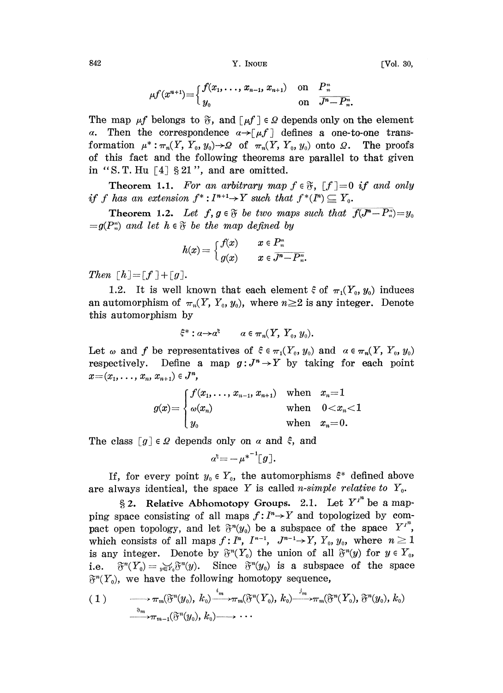$842$  [Vol. 30,

$$
\mu f(x^{n+1}) = \begin{cases} f(x_1, \ldots, x_{n-1}, x_{n+1}) & \text{on } P_n^n \\ y_0 & \text{on } \overline{J^n - P_n^2}. \end{cases}
$$

The map  $\mu f$  belongs to  $\mathfrak{F}$ , and  $[\mu f] \in \Omega$  depends only on the element  $\alpha$ . Then the correspondence  $\alpha \rightarrow [\mu f]$  defines a one-to-one trans-Then the correspondence  $\alpha \rightarrow [\mu f]$  defines a one-to-one transformation  $\mu^*: \pi_n(Y, Y_0, y_0) \to \Omega$  of  $\pi_n(Y, Y_0, y_0)$  onto  $\Omega$ . The proofs of this fact and the following theorems are parallel to that given in "S. T. Hu  $[4]$  § 21", and are omitted.

**Theorem 1.1.** For an arbitrary map  $f \in \mathfrak{F}$ ,  $[f] = 0$  if and only if f has an extension  $f^*: I^{n+1} \to Y$  such that  $f^*(I^n) \subseteq Y_0$ .

**Theorem 1.2.** Let  $f, g \in \mathfrak{F}$  be two maps such that  $f(J^{n}-P_{n})=y_{0}$  $=g(P_n^n)$  and let  $h \in \mathfrak{F}$  be the map defined by

$$
h(x)=\Big\{\begin{matrix} f(x)&\quad x\in P_n^n\\ g(x)&\quad x\in \overline{J^n-P_n}^n\end{matrix}
$$

Then  $\lceil h \rceil = \lceil f \rceil + \lceil g \rceil$ .

1.2. It is well known that each element  $\xi$  of  $\pi_1(Y_0, y_0)$  induces an automorphism of  $\pi_n(Y, Y_0, y_0)$ , where  $n \geq 2$  is any integer. Denote this automorphism by

$$
\xi^*: a \to a^{\xi} \qquad a \in \pi_n(Y, Y_0, y_0).
$$

Let  $\omega$  and f be representatives of  $\xi \in \pi_1(Y_0, y_0)$  and  $\alpha \in \pi_n(Y, Y_0, y_0)$ respectively. Define a map  $g:J^n\to Y$  by taking for each point  $x=(x_1,\ldots, x_n, x_{n+1})\in J^n$ ,

$$
g(x) = \begin{cases} f(x_1, \ldots, x_{n-1}, x_{n+1}) & \text{when} \quad x_n = 1 \\ \omega(x_n) & \text{when} \quad 0 < x_n < 1 \\ y_0 & \text{when} \quad x_n = 0. \end{cases}
$$

The class  $[g] \in \Omega$  depends only on  $\alpha$  and  $\xi$ , and

$$
a^{\xi} = -\mu^{*^{-1}}[g].
$$

If, for every point  $y_0 \in Y_0$ , the automorphisms  $\xi^*$  defined above are always identical, the space Y is called *n*-simple relative to  $Y_0$ .

§ 2. Relative Abhomotopy Groups. 2.1. Let  $Y^{i^n}$  be a mapping space consisting of all maps  $f: I<sup>n</sup> \to Y$  and topologized by compact open topology, and let  $\mathfrak{F}^n(y_0)$  be a subspace of the space  $Y^{I^n}$ , which consists of all maps  $f: I^n$ ,  $I^{n-1}$ ,  $J^{n-1} \rightarrow Y$ ,  $Y_0$ ,  $y_0$ , where  $n \geq 1$ is any integer. Denote by  $\mathfrak{F}^n(Y_0)$  the union of all  $\mathfrak{F}^n(y)$  for  $y \in Y_0$ , i.e.  $\mathfrak{F}^n(Y_0) = {}_{y \in Y_0} \mathfrak{F}^n(y)$ . Since  $\mathfrak{F}^n(y_0)$  is a subspace of the space  $\mathfrak{F}^n(Y_0)$ , we have the following homotopy sequence,

$$
(1) \qquad \longrightarrow \pi_m(\mathfrak{F}^n(y_0), k_0) \xrightarrow{\imath_m} \pi_m(\mathfrak{F}^n(Y_0), k_0) \xrightarrow{\jmath_m} \pi_m(\mathfrak{F}^n(Y_0), \mathfrak{F}^n(y_0), k_0)
$$
  

$$
\xrightarrow{\imath_m} \pi_{m-1}(\mathfrak{F}^n(y_0), k_0) \longrightarrow \cdots
$$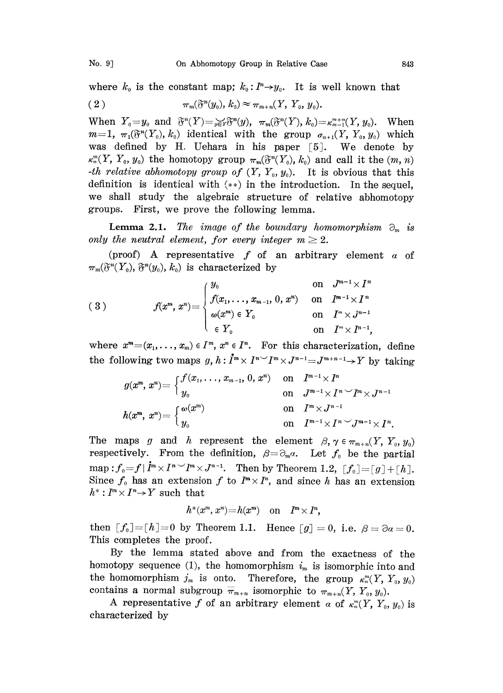where  $k_0$  is the constant map;  $k_0: I^n \rightarrow y_0$ . It is well known that

$$
\pi_m(\mathfrak{F}^n(y_0), k_0) \approx \pi_{m+n}(Y, Y_0, y_0).
$$

When  $Y_0=y_0$  and  $\mathfrak{F}^n(Y)=\mathfrak{F}^n\mathfrak{F}^n(y)$ ,  $\pi_m(\mathfrak{F}^n(Y), k_0)=\kappa_{m-1}^{m+n}(Y, y_0)$ . When  $m=1$ ,  $\pi_1(\mathfrak{F}^n(Y_0), k_0)$  identical with the group  $\sigma_{n+1}(Y, Y_0, y_0)$  which was defined by H. Uehara in his paper [5]. We denote by  $\kappa_n^m(Y, Y_0, y_0)$  the homotopy group  $\pi_m(\mathfrak{F}^n(Y_0), k_0)$  and call it the  $(m, n)$ -th relative abhomotopy group of  $(Y, Y_0, y_0)$ . It is obvious that this definition is identical with (\*\*) in the introduction. In the sequel, we shall study the algebraic structure of relative abhomotopy groups. First, we prove the following lemma.

**Lemma 2.1.** The image of the boundary homomorphism  $\partial_m$  is only the neutral element, for every integer  $m \geq 2$ .

(proof) A representative  $f$  of an arbitrary element  $\alpha$  of  $\pi_m(\mathfrak{F}^n(Y_o), \mathfrak{F}^n(y_o), k_o)$  is characterized by

$$
(3) \qquad \qquad f(x^m,x^n)=\begin{cases} y_0 & \text{on} \quad J^{m-1}\times I^n \\ f(x_1,\ldots,x_{m-1},\,0,\,x^n) & \text{on} \quad I^{m-1}\times I^n \\ \omega(x^m)\in Y_0 & \text{on} \quad I^n\times J^{n-1} \\ \in Y_0 & \text{on} \quad I^m\times I^{n-1}, \end{cases}
$$

where  $x^m=(x_1,\ldots, x_m)\in I^m$ ,  $x^n\in I^n$ . For this characterization, define the following two maps  $g, h: \mathring{I}^m \times I^{n} \rightarrow I^m \times J^{n-1} = J^{m+n-1} \rightarrow Y$  by taking

$$
g(x^m, x^n) = \begin{cases} f(x_1, \ldots, x_{m-1}, 0, x^n) & \text{on} \quad I^{m-1} \times I^n \\ y_0 & \text{on} \quad J^{m-1} \times I^n \searrow I^{m} \times J^{n-1} \end{cases}
$$

$$
h(x^m, x^n) = \begin{cases} \omega(x^m) & \text{on} \quad I^m \times J^{n-1} \\ y_0 & \text{on} \quad I^{m-1} \times I^n \searrow I^{m} \end{cases}
$$
The maps  $g$  and  $h$  represent the element  $\beta, \gamma \in \pi_{m+n}(Y, Y_0, y_0)$ 

respectively. From the definition,  $\beta = \partial_m \alpha$ . Let  $f_0$  be the partial map :  $f_0 = f | \dot{I}^m \times I^n \sim I^m \times J^{n-1}$ . Then by Theorem 1.2,  $[f_0] = [g] + [h]$ . Since  $f_0$  has an extension f to  $I^m \times I^n$ , and since h has an extension  $h^*: I^m \times I^n \rightarrow Y$  such that

$$
h^*(x^m, x^n) = h(x^m) \quad \text{on} \quad I^m \times I^n,
$$

then  $[f_0]=[h]=0$  by Theorem 1.1. Hence  $[g]=0$ , i.e.  $\beta=\partial \alpha=0$ . This completes the proof.

By the lemma stated above and from the exactness of the homotopy sequence (1), the homomorphism  $i_m$  is isomorphic into and the homomorphism  $j_m$  is onto. Therefore, the group  $\kappa_m^m(Y, Y_0, y_0)$ contains a normal subgroup  $\overline{\pi}_{m+n}$  isomorphic to  $\pi_{m+n}(Y, Y_0, y_0)$ .

A representative f of an arbitrary element  $\alpha$  of  $\kappa_n^m(Y, Y_0, y_0)$  is characterized by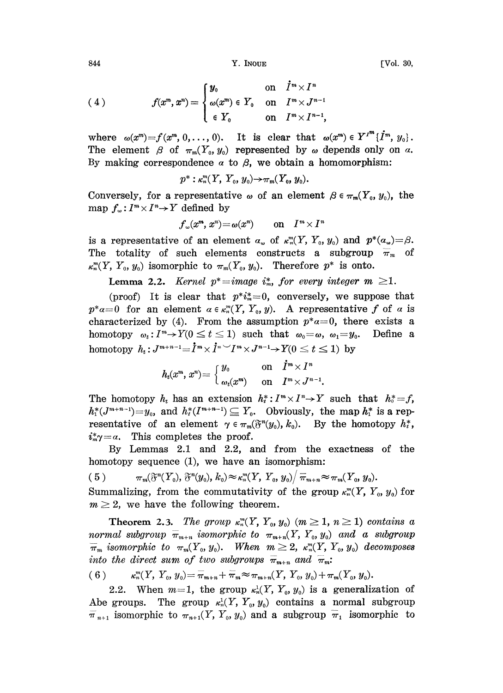844 **Y.** INOUE **IVOL. 30,** 

$$
f(x^m, x^n) = \begin{cases} y_0 & \text{on} \quad \dot{I}^m \times I^n \\ \omega(x^m) \in Y_0 & \text{on} \quad I^m \times J^{n-1} \\ \in Y_0 & \text{on} \quad I^m \times I^{n-1}, \end{cases}
$$

where  $\omega(x^m)=f(x^m, 0, \ldots, 0)$ . It is clear that  $\omega(x^m) \in Y^{I^m}$  { $\dot{I}^m$ ,  $y_0$  }. The element  $\beta$  of  $\pi_m(Y_0, y_0)$  represented by  $\omega$  depends only on  $\alpha$ . By making correspondence  $\alpha$  to  $\beta$ , we obtain a homomorphism:

$$
p^*: \kappa_n^m(Y, Y_0, y_0) \to \pi_m(Y_0, y_0).
$$

Conversely, for a representative  $\omega$  of an element  $\beta \in \pi_m(Y_0, y_0)$ , the map  $f_{\omega}: I^m \times I^n \to Y$  defined by

$$
f_{\omega}(x^m, x^n) = \omega(x^n)
$$
 on  $I^m \times I^n$ 

is a representative of an element  $a_{\omega}$  of  $\kappa_m^m(Y, Y_0, y_0)$  and  $p^*(a_{\omega}) = \beta$ . The totality of such elements constructs a subgroup  $\overline{\pi}_m$  of  $\kappa_n^m(Y, Y_0, y_0)$  isomorphic to  $\pi_m(Y_0, y_0)$ . Therefore  $p^*$  is onto.

**Lemma 2.2.** Kernel  $p^* = image$  i<sub>m</sub>, for every integer  $m \geq 1$ .

(proof) It is clear that  $p^*i_m^*=0$ , conversely, we suppose that  $p^*a=0$  for an element  $a \in \kappa_n^m(Y, Y_0, y)$ . A representative f of a is characterized by (4). From the assumption  $p^*a=0$ , there exists a homotopy  $\omega_t: I^m \to Y(0 \le t \le 1)$  such that  $\omega_0 = \omega$ ,  $\omega_1 = y_0$ . Define a homotopy  $h_t: J^{m+n-1} =$  $x, t \leq 1$  such that  $\omega_0 = \omega$ ,  $\omega_1 = y_0$ <br> $\times \dot{I}^n \sim I^m \times J^{n-1} \rightarrow Y(0 \leq t \leq 1)$  by

$$
h_t(x^m, x^n) = \begin{cases} y_0 & \text{on } \mathring{I}^m \times I^n \\ \omega_t(x^m) & \text{on } \mathring{I}^m \times J^{n-1}. \end{cases}
$$

The homotopy  $h_t$  has an extension  $h_t^*: I^m \times I^n \to Y$  such that  $h_0^* = f$ ,  $h^*(J^{m+n-1})=y_0$ , and  $h^*(I^{m+n-1})\subseteq Y_0$ . Obviously, the map  $h^*$  is a representative of an element  $\gamma \in \pi_m(\mathfrak{F}^n(y_0), k_0)$ . By the homotopy  $h_t^*$ ,  $i^*_{m} \gamma = \alpha$ . This completes the proof.

By Lemmas 2.1 and 2.2, and from the exactness of the homotopy sequence (1), we have an isomorphism:

$$
(5) \qquad \pi_m(\mathfrak{F}^n(Y_0),\,\mathfrak{F}^n(y_0),\,k_0)\!\approx\!\kappa_n^m(Y,\,Y_0,\,y_0)\big/\,\overline{\pi}_{m+n}\!\approx\!\pi_m(Y_0,\,y_0).
$$

Summalizing, from the commutativity of the group  $\kappa_m^m(Y, Y_0, y_0)$  for  $m \geq 2$ , we have the following theorem.

Theorem 2.3. The group  $\kappa_n^m(Y, Y_0, y_0)$   $(m \ge 1, n \ge 1)$  contains a normal subgroup  $\overline{\pi}_{m+n}$  isomorphic to  $\pi_{m+n}(Y, Y_0, y_0)$  and a subgroup  $\overline{\pi}_m$  isomorphic to  $\pi_m(Y_0, y_0)$ . When  $m \geq 2$ ,  $\kappa_m^m(Y, Y_0, y_0)$  decomposes  $\pi_m$  isomorphic to  $\pi_m(Y_0, y_0)$ . When  $m \geq 2$ ,  $\kappa_m^m(Y_0, z_0)$ <br>into the direct sum of two subgroups  $\overline{\pi}_{m+n}$  and  $\overline{\pi}_m$ .

into the direct sum of two subgroups 
$$
\overline{\pi}_{m+n}
$$
 and  $\overline{\pi}_m$ :  
(6)  $\kappa_n^m(Y, Y_0, y_0) = \overline{\pi}_{m+n} + \overline{\pi}_m \approx \pi_{m+n}(Y, Y_0, y_0) + \pi_m(Y_0, y_0)$ .

2.2. When  $m=1$ , the group  $\kappa_n^1(Y, Y_0, y_0)$  is a generalization of Abe groups. The group  $\kappa_n^1(Y, Y_0, y_0)$  contains a normal subgroup  $\overline{\pi}_{n+1}$  isomorphic to  $\pi_{n+1}(Y, Y_0, y_0)$  and a subgroup  $\overline{\pi}_1$  isomorphic to

(4)